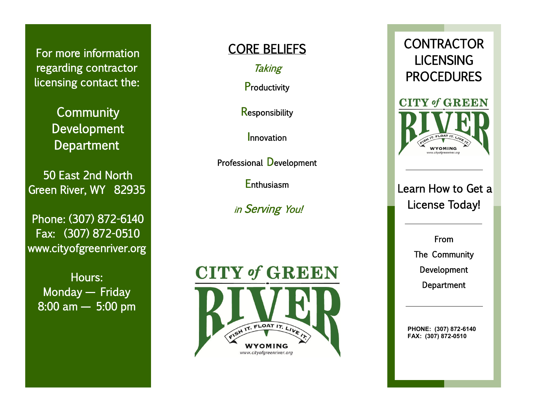For more information regarding contractor licensing contact the:

> **Community** Development **Department**

50 East 2nd North Green River, WY 82935

Phone: (307) 872 -6140 Fax: (307) 872 -0510 www.cityofgreenriver.org

Hours: Monday — Friday 8:00 am — 5:00 pm

## CORE BELIEFS

**Taking** 

**Productivity** 

**Responsibility** 

Innovation

Professional Development

**Enthusiasm** 

<sup>i</sup>n Serving You!





## Learn How to Get a License Today!

WYOMING

From The Community Development **Department** 

**PHONE: (307) 872 -6140 FAX: (307) 872 -0510**